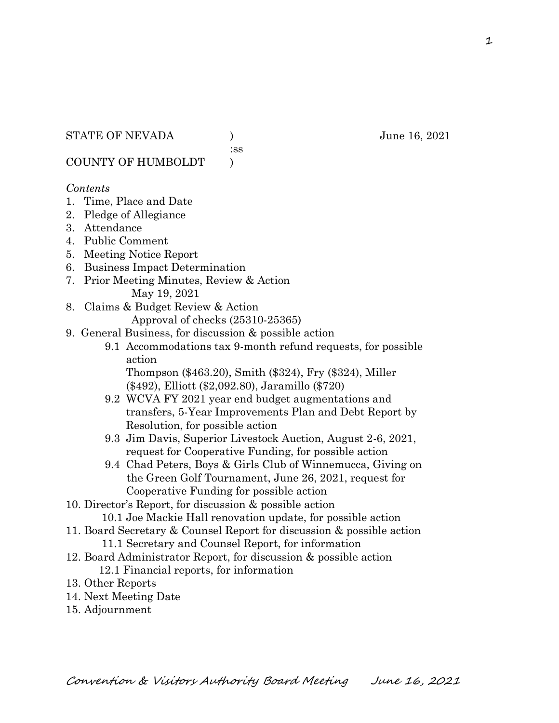:ss

COUNTY OF HUMBOLDT )

#### *Contents*

- 1. Time, Place and Date
- 2. Pledge of Allegiance
- 3. Attendance
- 4. Public Comment
- 5. Meeting Notice Report
- 6. Business Impact Determination
- 7. Prior Meeting Minutes, Review & Action May 19, 2021
- 8. Claims & Budget Review & Action

Approval of checks (25310-25365)

- 9. General Business, for discussion & possible action
	- 9.1 Accommodations tax 9-month refund requests, for possible action

 Thompson (\$463.20), Smith (\$324), Fry (\$324), Miller (\$492), Elliott (\$2,092.80), Jaramillo (\$720)

- 9.2 WCVA FY 2021 year end budget augmentations and transfers, 5-Year Improvements Plan and Debt Report by Resolution, for possible action
- 9.3 Jim Davis, Superior Livestock Auction, August 2-6, 2021, request for Cooperative Funding, for possible action
- 9.4 Chad Peters, Boys & Girls Club of Winnemucca, Giving on the Green Golf Tournament, June 26, 2021, request for Cooperative Funding for possible action
- 10. Director's Report, for discussion & possible action
	- 10.1 Joe Mackie Hall renovation update, for possible action
- 11. Board Secretary & Counsel Report for discussion & possible action 11.1 Secretary and Counsel Report, for information
- 12. Board Administrator Report, for discussion & possible action 12.1 Financial reports, for information
- 13. Other Reports
- 14. Next Meeting Date
- 15. Adjournment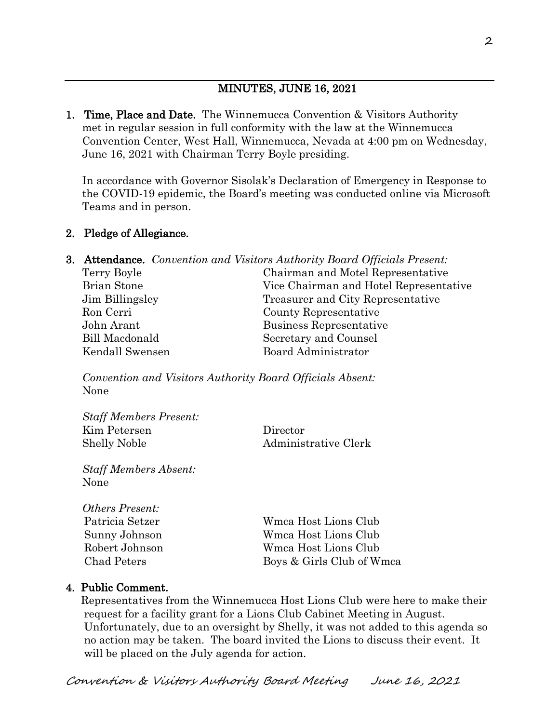# MINUTES, JUNE 16, 2021

1. Time, Place and Date. The Winnemucca Convention & Visitors Authority met in regular session in full conformity with the law at the Winnemucca Convention Center, West Hall, Winnemucca, Nevada at 4:00 pm on Wednesday, June 16, 2021 with Chairman Terry Boyle presiding.

In accordance with Governor Sisolak's Declaration of Emergency in Response to the COVID-19 epidemic, the Board's meeting was conducted online via Microsoft Teams and in person.

### 2. Pledge of Allegiance.

|                    | <b>3. Attendance.</b> Convention and Visitors Authority Board Officials Present: |
|--------------------|----------------------------------------------------------------------------------|
| Terry Boyle        | Chairman and Motel Representative                                                |
| <b>Brian Stone</b> | Vice Chairman and Hotel Representative                                           |
| Jim Billingsley    | Treasurer and City Representative                                                |
| Ron Cerri          | County Representative                                                            |
| John Arant         | Business Representative                                                          |
| Bill Macdonald     | Secretary and Counsel                                                            |
| Kendall Swensen    | Board Administrator                                                              |
|                    |                                                                                  |

*Convention and Visitors Authority Board Officials Absent:* None

| <b>Staff Members Present:</b> |                      |
|-------------------------------|----------------------|
| Kim Petersen                  | Director             |
| <b>Shelly Noble</b>           | Administrative Clerk |

*Staff Members Absent:* None

| <i><b>Others Present:</b></i> |                           |
|-------------------------------|---------------------------|
| Patricia Setzer               | Wmca Host Lions Club      |
| Sunny Johnson                 | Wmca Host Lions Club      |
| Robert Johnson                | Wmca Host Lions Club      |
| Chad Peters                   | Boys & Girls Club of Wmca |

### 4. Public Comment.

 Representatives from the Winnemucca Host Lions Club were here to make their request for a facility grant for a Lions Club Cabinet Meeting in August. Unfortunately, due to an oversight by Shelly, it was not added to this agenda so no action may be taken. The board invited the Lions to discuss their event. It will be placed on the July agenda for action.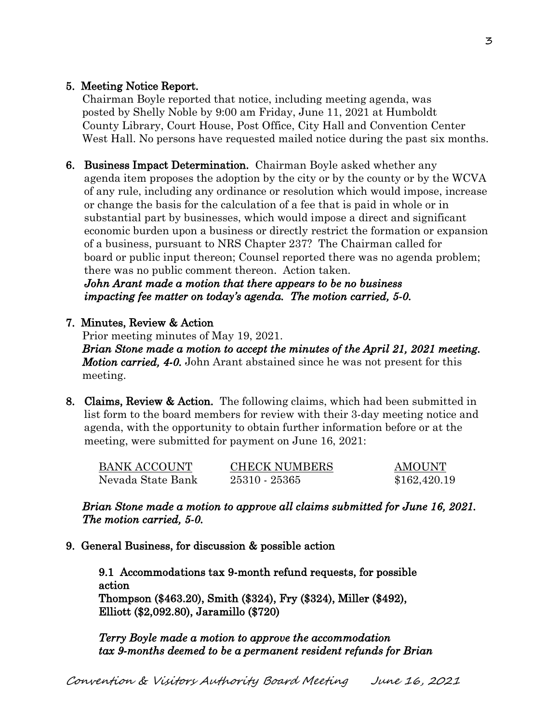# 5. Meeting Notice Report.

Chairman Boyle reported that notice, including meeting agenda, was posted by Shelly Noble by 9:00 am Friday, June 11, 2021 at Humboldt County Library, Court House, Post Office, City Hall and Convention Center West Hall. No persons have requested mailed notice during the past six months.

6. Business Impact Determination. Chairman Boyle asked whether any agenda item proposes the adoption by the city or by the county or by the WCVA of any rule, including any ordinance or resolution which would impose, increase or change the basis for the calculation of a fee that is paid in whole or in substantial part by businesses, which would impose a direct and significant economic burden upon a business or directly restrict the formation or expansion of a business, pursuant to NRS Chapter 237? The Chairman called for board or public input thereon; Counsel reported there was no agenda problem; there was no public comment thereon. Action taken.

 *John Arant made a motion that there appears to be no business impacting fee matter on today's agenda. The motion carried, 5-0.* 

### 7. Minutes, Review & Action

Prior meeting minutes of May 19, 2021. *Brian Stone made a motion to accept the minutes of the April 21, 2021 meeting. Motion carried, 4-0.* John Arant abstained since he was not present for this meeting.

8. Claims, Review & Action. The following claims, which had been submitted in list form to the board members for review with their 3-day meeting notice and agenda, with the opportunity to obtain further information before or at the meeting, were submitted for payment on June 16, 2021:

| <b>BANK ACCOUNT</b> | <b>CHECK NUMBERS</b> | AMOUNT       |
|---------------------|----------------------|--------------|
| Nevada State Bank   | 25310 - 25365        | \$162,420.19 |

*Brian Stone made a motion to approve all claims submitted for June 16, 2021. The motion carried, 5-0.* 

9. General Business, for discussion & possible action

9.1 Accommodations tax 9-month refund requests, for possible action Thompson (\$463.20), Smith (\$324), Fry (\$324), Miller (\$492), Elliott (\$2,092.80), Jaramillo (\$720)

*Terry Boyle made a motion to approve the accommodation tax 9-months deemed to be a permanent resident refunds for Brian*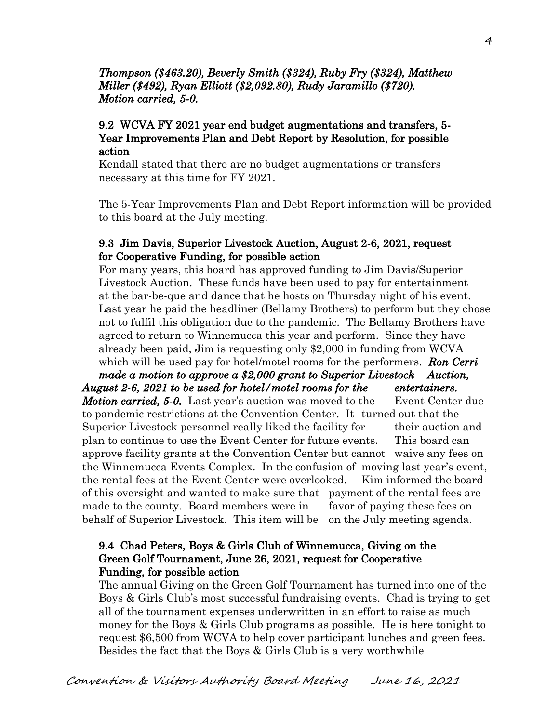# *Thompson (\$463.20), Beverly Smith (\$324), Ruby Fry (\$324), Matthew Miller (\$492), Ryan Elliott (\$2,092.80), Rudy Jaramillo (\$720). Motion carried, 5-0.*

## 9.2 WCVA FY 2021 year end budget augmentations and transfers, 5- Year Improvements Plan and Debt Report by Resolution, for possible action

Kendall stated that there are no budget augmentations or transfers necessary at this time for FY 2021.

The 5-Year Improvements Plan and Debt Report information will be provided to this board at the July meeting.

## 9.3 Jim Davis, Superior Livestock Auction, August 2-6, 2021, request for Cooperative Funding, for possible action

For many years, this board has approved funding to Jim Davis/Superior Livestock Auction. These funds have been used to pay for entertainment at the bar-be-que and dance that he hosts on Thursday night of his event. Last year he paid the headliner (Bellamy Brothers) to perform but they chose not to fulfil this obligation due to the pandemic. The Bellamy Brothers have agreed to return to Winnemucca this year and perform. Since they have already been paid, Jim is requesting only \$2,000 in funding from WCVA which will be used pay for hotel/motel rooms for the performers. *Ron Cerri* 

 *made a motion to approve a \$2,000 grant to Superior Livestock Auction, August 2-6, 2021 to be used for hotel/motel rooms for the entertainers.* 

*Motion carried, 5-0.* Last year's auction was moved to the Event Center due to pandemic restrictions at the Convention Center. It turned out that the Superior Livestock personnel really liked the facility for their auction and plan to continue to use the Event Center for future events. This board can approve facility grants at the Convention Center but cannot waive any fees on the Winnemucca Events Complex. In the confusion of moving last year's event, the rental fees at the Event Center were overlooked. Kim informed the board of this oversight and wanted to make sure that payment of the rental fees are made to the county. Board members were in favor of paying these fees on behalf of Superior Livestock. This item will be on the July meeting agenda.

## 9.4 Chad Peters, Boys & Girls Club of Winnemucca, Giving on the Green Golf Tournament, June 26, 2021, request for Cooperative Funding, for possible action

The annual Giving on the Green Golf Tournament has turned into one of the Boys & Girls Club's most successful fundraising events. Chad is trying to get all of the tournament expenses underwritten in an effort to raise as much money for the Boys & Girls Club programs as possible. He is here tonight to request \$6,500 from WCVA to help cover participant lunches and green fees. Besides the fact that the Boys & Girls Club is a very worthwhile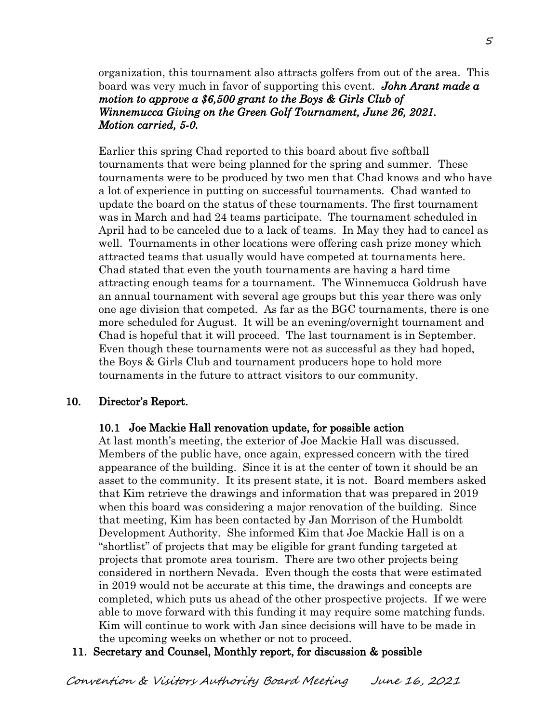organization, this tournament also attracts golfers from out of the area. This board was very much in favor of supporting this event. *John Arant made a motion to approve a \$6,500 grant to the Boys & Girls Club of Winnemucca Giving on the Green Golf Tournament, June 26, 2021. Motion carried, 5-0.* 

Earlier this spring Chad reported to this board about five softball tournaments that were being planned for the spring and summer. These tournaments were to be produced by two men that Chad knows and who have a lot of experience in putting on successful tournaments. Chad wanted to update the board on the status of these tournaments. The first tournament was in March and had 24 teams participate. The tournament scheduled in April had to be canceled due to a lack of teams. In May they had to cancel as well. Tournaments in other locations were offering cash prize money which attracted teams that usually would have competed at tournaments here. Chad stated that even the youth tournaments are having a hard time attracting enough teams for a tournament. The Winnemucca Goldrush have an annual tournament with several age groups but this year there was only one age division that competed. As far as the BGC tournaments, there is one more scheduled for August. It will be an evening/overnight tournament and Chad is hopeful that it will proceed. The last tournament is in September. Even though these tournaments were not as successful as they had hoped, the Boys & Girls Club and tournament producers hope to hold more tournaments in the future to attract visitors to our community.

### 10. Director's Report.

#### 10.1 Joe Mackie Hall renovation update, for possible action

 At last month's meeting, the exterior of Joe Mackie Hall was discussed. Members of the public have, once again, expressed concern with the tired appearance of the building. Since it is at the center of town it should be an asset to the community. It its present state, it is not. Board members asked that Kim retrieve the drawings and information that was prepared in 2019 when this board was considering a major renovation of the building. Since that meeting, Kim has been contacted by Jan Morrison of the Humboldt Development Authority. She informed Kim that Joe Mackie Hall is on a "shortlist" of projects that may be eligible for grant funding targeted at projects that promote area tourism. There are two other projects being considered in northern Nevada. Even though the costs that were estimated in 2019 would not be accurate at this time, the drawings and concepts are completed, which puts us ahead of the other prospective projects. If we were able to move forward with this funding it may require some matching funds. Kim will continue to work with Jan since decisions will have to be made in the upcoming weeks on whether or not to proceed.

### 11. Secretary and Counsel, Monthly report, for discussion & possible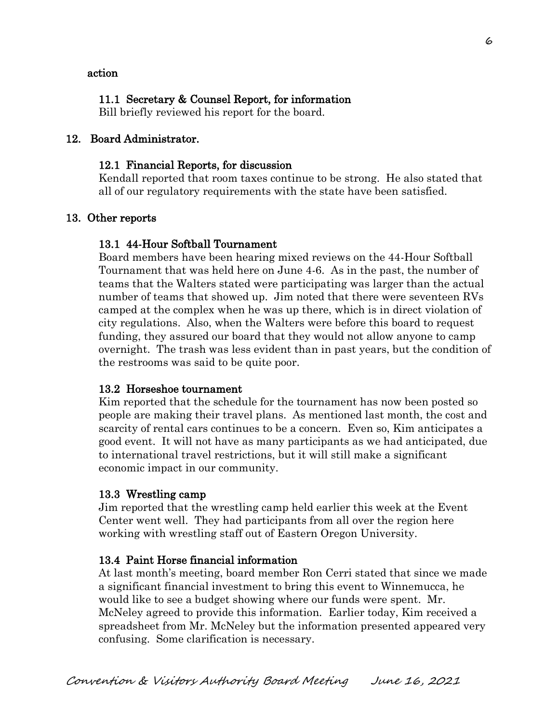#### action

### 11.1 Secretary & Counsel Report, for information

Bill briefly reviewed his report for the board.

## 12. Board Administrator.

### 12.1 Financial Reports, for discussion

Kendall reported that room taxes continue to be strong. He also stated that all of our regulatory requirements with the state have been satisfied.

### 13. Other reports

### 13.1 44-Hour Softball Tournament

 Board members have been hearing mixed reviews on the 44-Hour Softball Tournament that was held here on June 4-6. As in the past, the number of teams that the Walters stated were participating was larger than the actual number of teams that showed up. Jim noted that there were seventeen RVs camped at the complex when he was up there, which is in direct violation of city regulations. Also, when the Walters were before this board to request funding, they assured our board that they would not allow anyone to camp overnight. The trash was less evident than in past years, but the condition of the restrooms was said to be quite poor.

### 13.2 Horseshoe tournament

 Kim reported that the schedule for the tournament has now been posted so people are making their travel plans. As mentioned last month, the cost and scarcity of rental cars continues to be a concern. Even so, Kim anticipates a good event. It will not have as many participants as we had anticipated, due to international travel restrictions, but it will still make a significant economic impact in our community.

#### 13.3 Wrestling camp

 Jim reported that the wrestling camp held earlier this week at the Event Center went well. They had participants from all over the region here working with wrestling staff out of Eastern Oregon University.

### 13.4 Paint Horse financial information

 At last month's meeting, board member Ron Cerri stated that since we made a significant financial investment to bring this event to Winnemucca, he would like to see a budget showing where our funds were spent. Mr. McNeley agreed to provide this information. Earlier today, Kim received a spreadsheet from Mr. McNeley but the information presented appeared very confusing. Some clarification is necessary.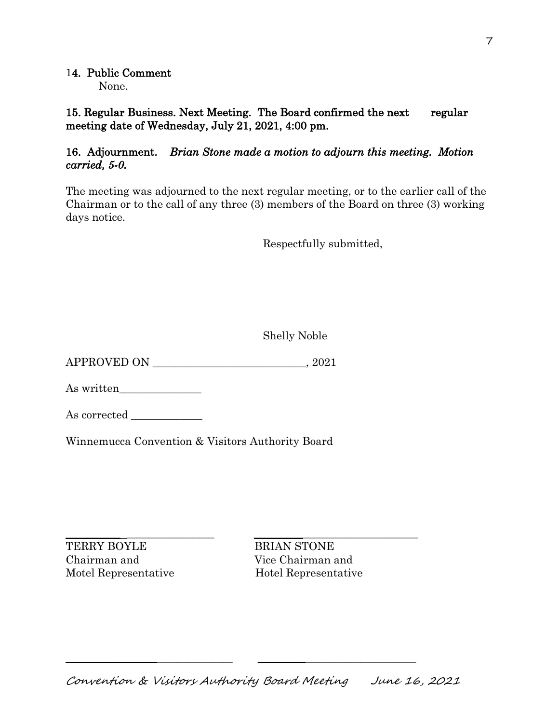# 14. Public Comment

None.

15. Regular Business. Next Meeting. The Board confirmed the next regular meeting date of Wednesday, July 21, 2021, 4:00 pm.

# 16. Adjournment. *Brian Stone made a motion to adjourn this meeting. Motion carried, 5-0.*

The meeting was adjourned to the next regular meeting, or to the earlier call of the Chairman or to the call of any three (3) members of the Board on three (3) working days notice.

Respectfully submitted,

Shelly Noble

APPROVED ON \_\_\_\_\_\_\_\_\_\_\_\_\_\_\_\_\_\_\_\_\_\_\_\_\_\_\_\_, 2021

As written\_\_\_\_\_\_\_\_\_\_\_\_\_\_\_

As corrected \_\_\_\_\_\_\_\_\_\_\_\_\_

Winnemucca Convention & Visitors Authority Board

\_\_\_\_\_\_\_\_\_\_ \_\_\_\_\_\_\_\_\_\_\_\_\_\_\_\_ \_\_\_\_\_\_\_\_\_\_\_\_\_\_\_\_\_\_\_\_\_\_\_\_\_\_\_\_\_\_ TERRY BOYLE BRIAN STONE Chairman and Vice Chairman and Motel Representative Hotel Representative

 $\_$  , and the set of the set of the set of the set of the set of the set of the set of the set of the set of the set of the set of the set of the set of the set of the set of the set of the set of the set of the set of th